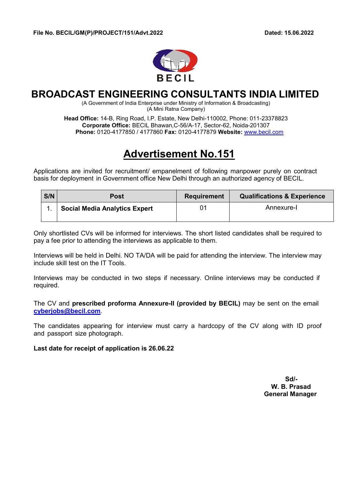

## **BROADCAST ENGINEERING CONSULTANTS INDIA LIMITED**

(A Government of India Enterprise under Ministry of Information & Broadcasting) (A Mini Ratna Company)

**Head Office:** 14-B, Ring Road, I.P. Estate, New Delhi-110002, Phone: 011-23378823 **Corporate Office:** BECIL Bhawan,C-56/A-17, Sector-62, Noida-201307 **Phone:** 0120-4177850 / 4177860 **Fax:** 0120-4177879 **Website:** www.becil.com

# **Advertisement No.151**

Applications are invited for recruitment/ empanelment of following manpower purely on contract basis for deployment in Government office New Delhi through an authorized agency of BECIL.

| S/N | <b>Post</b>                          | <b>Requirement</b> | <b>Qualifications &amp; Experience</b> |
|-----|--------------------------------------|--------------------|----------------------------------------|
|     | <b>Social Media Analytics Expert</b> |                    | Annexure-I                             |

Only shortlisted CVs will be informed for interviews. The short listed candidates shall be required to pay a fee prior to attending the interviews as applicable to them.

Interviews will be held in Delhi. NO TA/DA will be paid for attending the interview. The interview may include skill test on the IT Tools.

Interviews may be conducted in two steps if necessary. Online interviews may be conducted if required.

The CV and **prescribed proforma Annexure-II (provided by BECIL)** may be sent on the email **cyberjobs@becil.com**.

The candidates appearing for interview must carry a hardcopy of the CV along with ID proof and passport size photograph.

**Last date for receipt of application is 26.06.22** 

 **Sd/- W. B. Prasad General Manager**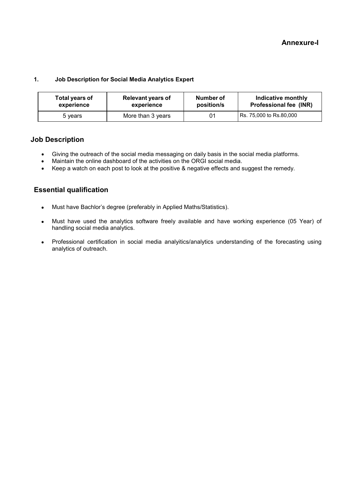#### **1. Job Description for Social Media Analytics Expert**

| Total years of | <b>Relevant years of</b> | Number of  | Indicative monthly          |
|----------------|--------------------------|------------|-----------------------------|
| experience     | experience               | position/s | Professional fee (INR)      |
| 5 years        | More than 3 years        | 01         | Rs. 75,000 to Rs.80,000 Rs. |

#### **Job Description**

- Giving the outreach of the social media messaging on daily basis in the social media platforms.
- Maintain the online dashboard of the activities on the ORGI social media.
- Keep a watch on each post to look at the positive & negative effects and suggest the remedy.

#### **Essential qualification**

- Must have Bachlor's degree (preferably in Applied Maths/Statistics).
- Must have used the analytics software freely available and have working experience (05 Year) of handling social media analytics.
- Professional certification in social media analyitics/analytics understanding of the forecasting using analytics of outreach.